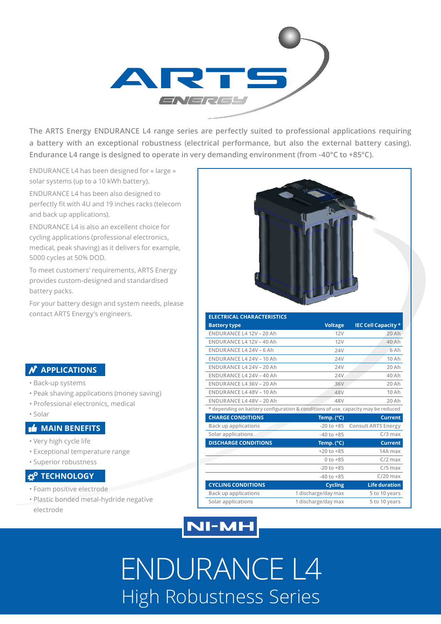

**The ARTS Energy ENDURANCE L4 range series are perfectly suited to professional applications requiring a battery with an exceptional robustness (electrical performance, but also the external battery casing). Endurance L4 range is designed to operate in very demanding environment (from -40°C to +85°C).**

ENDURANCE L4 has been designed for « large » solar systems (up to a 10 kWh battery).

ENDURANCE L4 has been also designed to perfectly fit with 4U and 19 inches racks (telecom and back up applications).

ENDURANCE L4 is also an excellent choice for cycling applications (professional electronics, medical, peak shaving) as it delivers for example, 5000 cycles at 50% DOD.

To meet customers' requirements, ARTS Energy provides custom-designed and standardised battery packs.

For your battery design and system needs, please contact ARTS Energy's engineers. **ELECTRICAL CHARACTERISTICS**

## **N** APPLICATIONS

- Back-up systems
- Peak shaving applications (money saving)
- Professional electronics, medical
- Solar

## **MAIN BENEFITS**

- Very high cycle life
- Exceptional temperature range
- Superior robustness

## **TECHNOLOGY**

- Foam positive electrode
- Plastic bonded metal-hydride negative electrode



**Solar applications -40 to +85 C/3 max DISCHARGE CONDITIONS** Temp. (°C) Current

**CYCLING CONDITIONS Cycling Life duration Back up applications 1 discharge/day max 5 to 10 years Solar applications 1 discharge/day max 5 to 10 years**

**+20 to +85 14A max 0 to +85 C/2 max -20 to +85 C/5 max -40 to +85 C/20 max**

## **NI-MH**

ENDURANCE L4 High Robustness Series